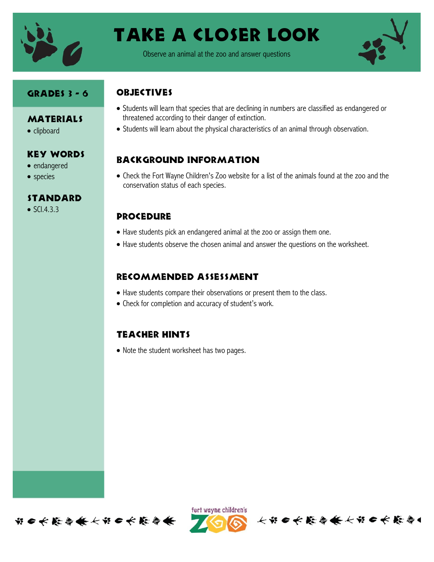

# Take a closer look

Observe an animal at the zoo and answer questions



#### Grades 3 - 6

- **MATERIALS**
- clipboard

#### Key Words

- endangered
- species

#### **STANDARD**

 $\bullet$  SCI.4.3.3

### **OBJECTIVES**

- Students will learn that species that are declining in numbers are classified as endangered or threatened according to their danger of extinction.
- Students will learn about the physical characteristics of an animal through observation.

#### Background information

 Check the Fort Wayne Children's Zoo website for a list of the animals found at the zoo and the conservation status of each species.

#### **PROCEDURE**

- Have students pick an endangered animal at the zoo or assign them one.
- Have students observe the chosen animal and answer the questions on the worksheet.

#### Recommended assessment

- Have students compare their observations or present them to the class.
- Check for completion and accuracy of student's work.

#### Teacher hints

• Note the student worksheet has two pages.





长节日长能与长长节日长能与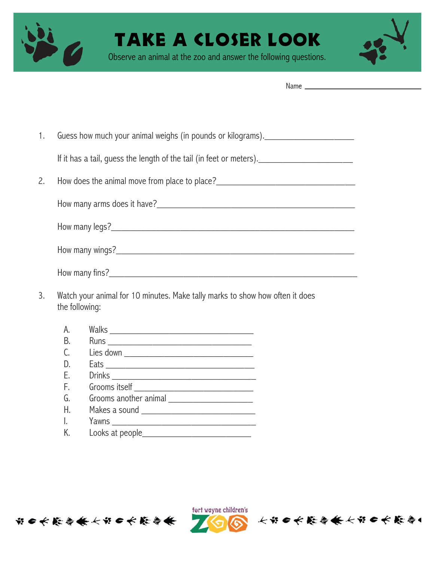

## KE A CLOSER LOOK

Observe an animal at the zoo and answer the following questions.

- 1. Guess how much your animal weighs (in pounds or kilograms). If it has a tail, quess the length of the tail (in feet or meters). 2. How does the animal move from place to place?\_\_\_\_\_\_\_\_\_\_\_\_\_\_\_\_\_\_\_\_\_\_\_\_\_\_\_\_\_\_\_\_ How many arms does it have?\_\_\_\_\_\_\_\_\_\_\_\_\_\_\_\_\_\_\_\_\_\_\_\_\_\_\_\_\_\_\_\_\_\_\_\_\_\_\_\_ How many legs?\_\_\_\_\_\_\_\_\_\_\_\_\_\_\_\_\_\_\_\_\_\_\_\_\_\_\_\_\_\_\_\_\_\_\_\_\_\_\_\_\_\_\_\_\_\_\_\_\_ How many wings? How many fins?\_\_\_\_\_\_\_\_\_\_\_\_\_\_\_\_\_\_\_\_\_\_\_\_\_\_\_\_\_\_\_\_\_\_\_\_\_\_\_\_\_\_\_\_\_\_\_\_\_\_
- 3. Watch your animal for 10 minutes. Make tally marks to show how often it does the following:
	- A. Walks \_\_\_\_\_\_\_\_\_\_\_\_\_\_\_\_\_\_\_\_\_\_\_\_\_\_\_\_\_ B. Runs \_\_\_\_\_\_\_\_\_\_\_\_\_\_\_\_\_\_\_\_\_\_\_\_\_\_\_\_\_
	- C. Lies down \_\_\_\_\_\_\_\_\_\_\_\_\_\_\_\_\_\_\_\_\_\_\_\_\_\_
	- D. Eats \_\_\_\_\_\_\_\_\_\_\_\_\_\_\_\_\_\_\_\_\_\_\_\_\_\_\_\_\_\_
	- E. Drinks \_\_\_\_\_\_\_\_\_\_\_\_\_\_\_\_\_\_\_\_\_\_\_\_\_\_\_\_\_
	- F. Grooms itself \_\_\_\_\_\_\_\_\_\_\_\_\_\_\_\_\_\_\_\_\_\_\_\_
	- G. Grooms another animal
	- H. Makes a sound \_\_\_\_\_\_\_\_\_\_\_\_\_\_\_\_\_\_\_\_\_\_\_
	- I. Yawns \_\_\_\_\_\_\_\_\_\_\_\_\_\_\_\_\_\_\_\_\_\_\_\_\_\_\_\_\_
	- K. Looks at people\_\_\_\_\_\_\_\_\_\_\_\_\_\_\_\_\_\_\_\_\_\_